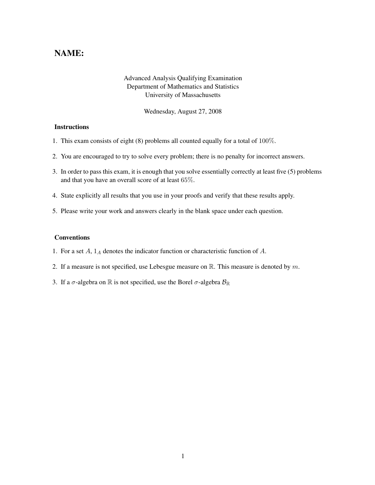## NAME:

## Advanced Analysis Qualifying Examination Department of Mathematics and Statistics University of Massachusetts

Wednesday, August 27, 2008

## **Instructions**

- 1. This exam consists of eight (8) problems all counted equally for a total of 100%.
- 2. You are encouraged to try to solve every problem; there is no penalty for incorrect answers.
- 3. In order to pass this exam, it is enough that you solve essentially correctly at least five (5) problems and that you have an overall score of at least 65%.
- 4. State explicitly all results that you use in your proofs and verify that these results apply.
- 5. Please write your work and answers clearly in the blank space under each question.

## Conventions

- 1. For a set  $A$ ,  $1_A$  denotes the indicator function or characteristic function of  $A$ .
- 2. If a measure is not specified, use Lebesgue measure on  $\mathbb{R}$ . This measure is denoted by m.
- 3. If a  $\sigma$ -algebra on  $\mathbb R$  is not specified, use the Borel  $\sigma$ -algebra  $\mathcal{B}_{\mathbb R}$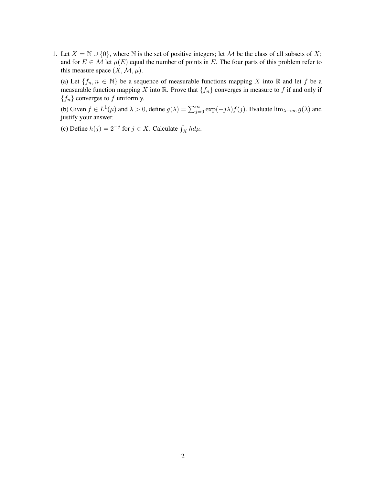1. Let  $X = \mathbb{N} \cup \{0\}$ , where  $\mathbb N$  is the set of positive integers; let M be the class of all subsets of X; and for  $E \in \mathcal{M}$  let  $\mu(E)$  equal the number of points in E. The four parts of this problem refer to this measure space  $(X, \mathcal{M}, \mu)$ .

(a) Let  $\{f_n, n \in \mathbb{N}\}\$  be a sequence of measurable functions mapping X into R and let f be a measurable function mapping X into R. Prove that  $\{f_n\}$  converges in measure to f if and only if  ${f_n}$  converges to f uniformly.

(b) Given  $f \in L^1(\mu)$  and  $\lambda > 0$ , define  $g(\lambda) = \sum_{j=0}^{\infty} \exp(-j\lambda) f(j)$ . Evaluate  $\lim_{\lambda \to \infty} g(\lambda)$  and justify your answer.

(c) Define  $h(j) = 2^{-j}$  for  $j \in X$ . Calculate  $\int_X h d\mu$ .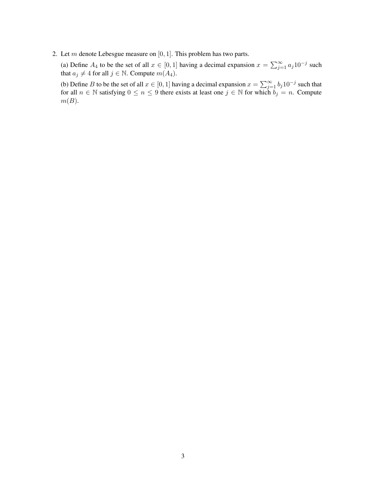2. Let  $m$  denote Lebesgue measure on  $[0, 1]$ . This problem has two parts.

(a) Define  $A_4$  to be the set of all  $x \in [0, 1]$  having a decimal expansion  $x = \sum_{j=1}^{\infty} a_j 10^{-j}$  such that  $a_j \neq 4$  for all  $j \in \mathbb{N}$ . Compute  $m(A_4)$ .

(b) Define B to be the set of all  $x \in [0, 1]$  having a decimal expansion  $x = \sum_{j=1}^{\infty} b_j 10^{-j}$  such that for all  $n \in \mathbb{N}$  satisfying  $0 \leq n \leq 9$  there exists at least one  $j \in \mathbb{N}$  for which  $b_j = n$ . Compute  $m(B).$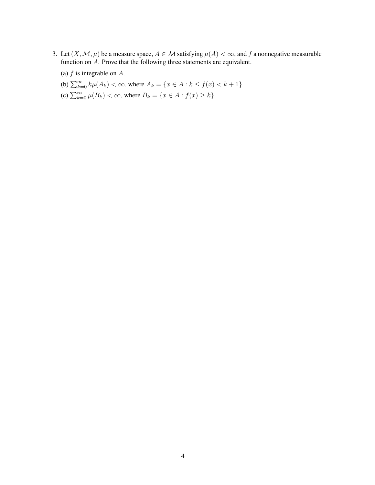- 3. Let  $(X, \mathcal{M}, \mu)$  be a measure space,  $A \in \mathcal{M}$  satisfying  $\mu(A) < \infty$ , and f a nonnegative measurable function on A. Prove that the following three statements are equivalent.
	- (a)  $f$  is integrable on  $A$ .
	- (b)  $\sum_{k=0}^{\infty} k\mu(A_k) < \infty$ , where  $A_k = \{x \in A : k \le f(x) < k+1\}.$
	- (c)  $\sum_{k=0}^{\infty} \mu(B_k) < \infty$ , where  $B_k = \{x \in A : f(x) \ge k\}.$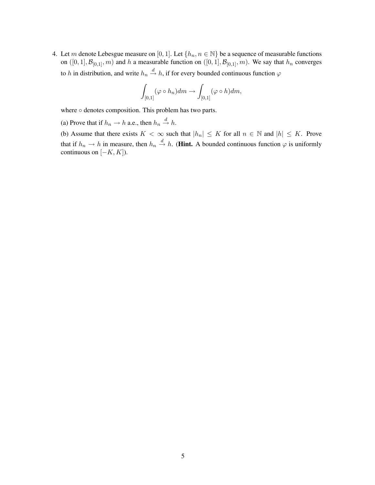4. Let m denote Lebesgue measure on [0, 1]. Let  $\{h_n, n \in \mathbb{N}\}\$  be a sequence of measurable functions on  $([0, 1], \mathcal{B}_{[0,1]}, m)$  and h a measurable function on  $([0, 1], \mathcal{B}_{[0,1]}, m)$ . We say that  $h_n$  converges to h in distribution, and write  $h_n \stackrel{d}{\rightarrow} h$ , if for every bounded continuous function  $\varphi$ 

$$
\int_{[0,1]} (\varphi \circ h_n) dm \to \int_{[0,1]} (\varphi \circ h) dm,
$$

where ○ denotes composition. This problem has two parts.

(a) Prove that if  $h_n \to h$  a.e., then  $h_n \stackrel{d}{\to} h$ .

(b) Assume that there exists  $K < \infty$  such that  $|h_n| \leq K$  for all  $n \in \mathbb{N}$  and  $|h| \leq K$ . Prove that if  $h_n \to h$  in measure, then  $h_n \stackrel{d}{\to} h$ . (**Hint.** A bounded continuous function  $\varphi$  is uniformly continuous on  $[-K, K]$ ).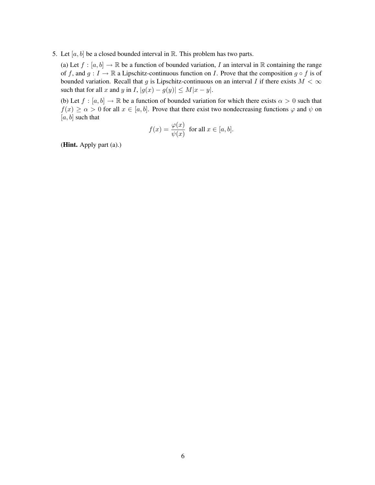5. Let  $[a, b]$  be a closed bounded interval in  $\mathbb R$ . This problem has two parts.

(a) Let  $f : [a, b] \to \mathbb{R}$  be a function of bounded variation, I an interval in  $\mathbb{R}$  containing the range of f, and  $g: I \to \mathbb{R}$  a Lipschitz-continuous function on I. Prove that the composition  $g \circ f$  is of bounded variation. Recall that g is Lipschitz-continuous on an interval I if there exists  $M < \infty$ such that for all x and y in I,  $|g(x) - g(y)| \le M|x - y|$ .

(b) Let  $f : [a, b] \to \mathbb{R}$  be a function of bounded variation for which there exists  $\alpha > 0$  such that  $f(x) \ge \alpha > 0$  for all  $x \in [a, b]$ . Prove that there exist two nondecreasing functions  $\varphi$  and  $\psi$  on  $[a, b]$  such that

$$
f(x) = \frac{\varphi(x)}{\psi(x)} \text{ for all } x \in [a, b].
$$

(Hint. Apply part (a).)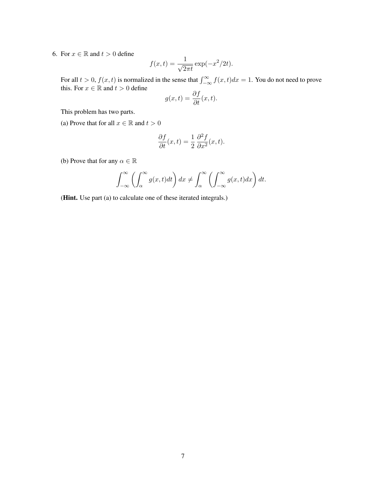6. For  $x \in \mathbb{R}$  and  $t > 0$  define

$$
f(x,t) = \frac{1}{\sqrt{2\pi t}} \exp(-x^2/2t).
$$

For all  $t > 0$ ,  $f(x, t)$  is normalized in the sense that  $\int_{-\infty}^{\infty} f(x, t) dx = 1$ . You do not need to prove this. For  $x \in \mathbb{R}$  and  $t > 0$  define

$$
g(x,t) = \frac{\partial f}{\partial t}(x,t).
$$

This problem has two parts.

(a) Prove that for all  $x \in \mathbb{R}$  and  $t > 0$ 

$$
\frac{\partial f}{\partial t}(x,t) = \frac{1}{2} \frac{\partial^2 f}{\partial x^2}(x,t).
$$

(b) Prove that for any  $\alpha \in \mathbb{R}$ 

$$
\int_{-\infty}^{\infty} \left( \int_{\alpha}^{\infty} g(x, t) dt \right) dx \neq \int_{\alpha}^{\infty} \left( \int_{-\infty}^{\infty} g(x, t) dx \right) dt.
$$

(Hint. Use part (a) to calculate one of these iterated integrals.)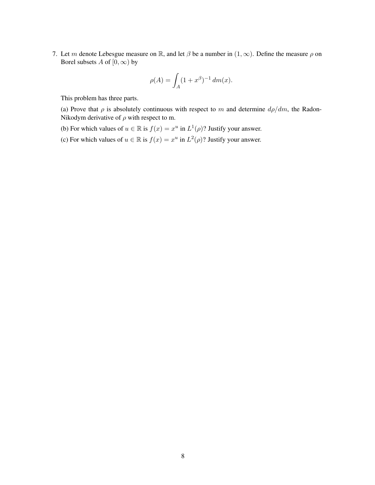7. Let m denote Lebesgue measure on R, and let  $\beta$  be a number in  $(1,\infty)$ . Define the measure  $\rho$  on Borel subsets A of  $[0, \infty)$  by

$$
\rho(A) = \int_A (1 + x^{\beta})^{-1} dm(x).
$$

This problem has three parts.

(a) Prove that  $\rho$  is absolutely continuous with respect to m and determine  $d\rho/dm$ , the Radon-Nikodym derivative of  $\rho$  with respect to m.

- (b) For which values of  $u \in \mathbb{R}$  is  $f(x) = x^u$  in  $L^1(\rho)$ ? Justify your answer.
- (c) For which values of  $u \in \mathbb{R}$  is  $f(x) = x^u$  in  $L^2(\rho)$ ? Justify your answer.